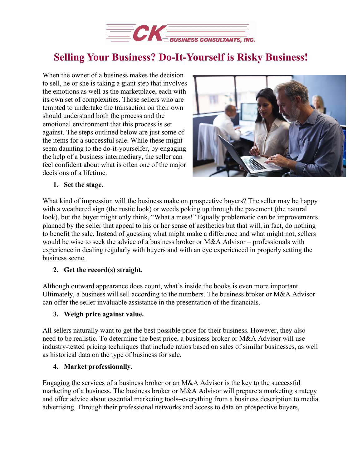

# **Selling Your Business? Do-It-Yourself is Risky Business!**

When the owner of a business makes the decision to sell, he or she is taking a giant step that involves the emotions as well as the marketplace, each with its own set of complexities. Those sellers who are tempted to undertake the transaction on their own should understand both the process and the emotional environment that this process is set against. The steps outlined below are just some of the items for a successful sale. While these might seem daunting to the do-it-yourselfer, by engaging the help of a business intermediary, the seller can feel confident about what is often one of the major decisions of a lifetime.



#### **1. Set the stage.**

What kind of impression will the business make on prospective buyers? The seller may be happy with a weathered sign (the rustic look) or weeds poking up through the pavement (the natural look), but the buyer might only think, "What a mess!" Equally problematic can be improvements planned by the seller that appeal to his or her sense of aesthetics but that will, in fact, do nothing to benefit the sale. Instead of guessing what might make a difference and what might not, sellers would be wise to seek the advice of a business broker or M&A Advisor – professionals with experience in dealing regularly with buyers and with an eye experienced in properly setting the business scene.

#### **2. Get the record(s) straight.**

Although outward appearance does count, what's inside the books is even more important. Ultimately, a business will sell according to the numbers. The business broker or M&A Advisor can offer the seller invaluable assistance in the presentation of the financials.

#### **3. Weigh price against value.**

All sellers naturally want to get the best possible price for their business. However, they also need to be realistic. To determine the best price, a business broker or M&A Advisor will use industry-tested pricing techniques that include ratios based on sales of similar businesses, as well as historical data on the type of business for sale.

#### **4. Market professionally.**

Engaging the services of a business broker or an M&A Advisor is the key to the successful marketing of a business. The business broker or  $M&A$  Advisor will prepare a marketing strategy and offer advice about essential marketing tools–everything from a business description to media advertising. Through their professional networks and access to data on prospective buyers,